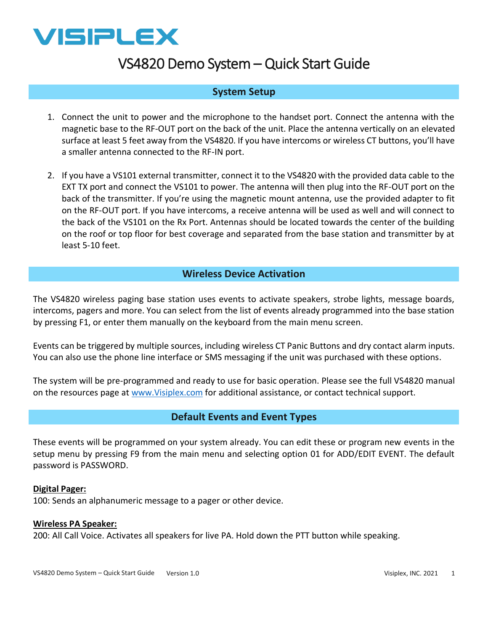

# VS4820 Demo System – Quick Start Guide

# **System Setup**

- 1. Connect the unit to power and the microphone to the handset port. Connect the antenna with the magnetic base to the RF-OUT port on the back of the unit. Place the antenna vertically on an elevated surface at least 5 feet away from the VS4820. If you have intercoms or wireless CT buttons, you'll have a smaller antenna connected to the RF-IN port.
- 2. If you have a VS101 external transmitter, connect it to the VS4820 with the provided data cable to the EXT TX port and connect the VS101 to power. The antenna will then plug into the RF-OUT port on the back of the transmitter. If you're using the magnetic mount antenna, use the provided adapter to fit on the RF-OUT port. If you have intercoms, a receive antenna will be used as well and will connect to the back of the VS101 on the Rx Port. Antennas should be located towards the center of the building on the roof or top floor for best coverage and separated from the base station and transmitter by at least 5-10 feet.

## **Wireless Device Activation**

The VS4820 wireless paging base station uses events to activate speakers, strobe lights, message boards, intercoms, pagers and more. You can select from the list of events already programmed into the base station by pressing F1, or enter them manually on the keyboard from the main menu screen.

Events can be triggered by multiple sources, including wireless CT Panic Buttons and dry contact alarm inputs. You can also use the phone line interface or SMS messaging if the unit was purchased with these options.

The system will be pre-programmed and ready to use for basic operation. Please see the full VS4820 manual on the resources page at www.Visiplex.com for additional assistance, or contact technical support.

# **Default Events and Event Types**

These events will be programmed on your system already. You can edit these or program new events in the setup menu by pressing F9 from the main menu and selecting option 01 for ADD/EDIT EVENT. The default password is PASSWORD.

#### **Digital Pager:**

100: Sends an alphanumeric message to a pager or other device.

#### **Wireless PA Speaker:**

200: All Call Voice. Activates all speakers for live PA. Hold down the PTT button while speaking.